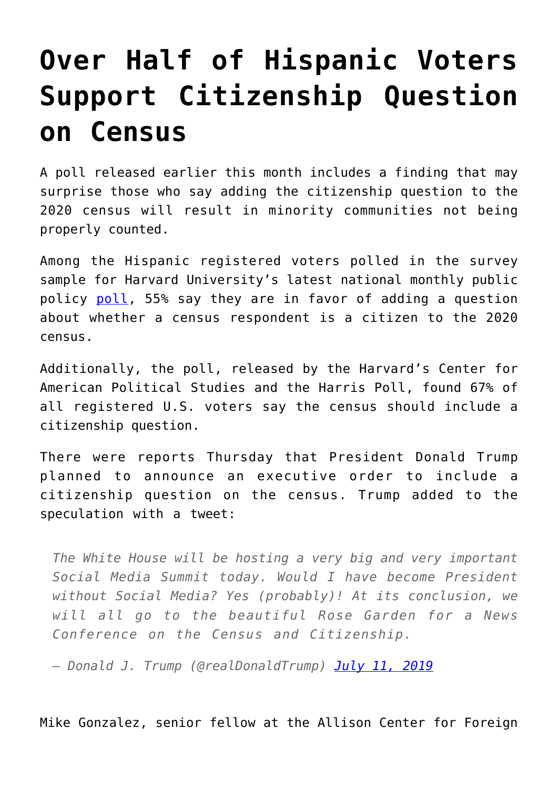## **[Over Half of Hispanic Voters](https://intellectualtakeout.org/2019/07/over-half-of-hispanic-voters-support-citizenship-question-on-census/) [Support Citizenship Question](https://intellectualtakeout.org/2019/07/over-half-of-hispanic-voters-support-citizenship-question-on-census/) [on Census](https://intellectualtakeout.org/2019/07/over-half-of-hispanic-voters-support-citizenship-question-on-census/)**

A poll released earlier this month includes a finding that may surprise those who say adding the citizenship question to the 2020 census will result in minority communities not being properly counted.

Among the Hispanic registered voters polled in the survey sample for Harvard University's latest national monthly public policy [poll,](https://harvardharrispoll.com/wp-content/uploads/2019/07/HHP_June19_RVs_Crosstabs.pdf) 55% say they are in favor of adding a question about whether a census respondent is a citizen to the 2020 census.

Additionally, the poll, released by the Harvard's Center for American Political Studies and the Harris Poll, found 67% of all registered U.S. voters say the census should include a citizenship question.

There were reports Thursday that President Donald Trump planned to announce an executive order to include a citizenship question on the census. Trump added to the speculation with a tweet:

*The White House will be hosting a very big and very important Social Media Summit today. Would I have become President without Social Media? Yes (probably)! At its conclusion, we will all go to the beautiful Rose Garden for a News Conference on the Census and Citizenship.*

*— Donald J. Trump (@realDonaldTrump) [July 11, 2019](https://twitter.com/realDonaldTrump/status/1149266929565261824?ref_src=twsrc%5Etfw)*

Mike Gonzalez, senior fellow at the Allison Center for Foreign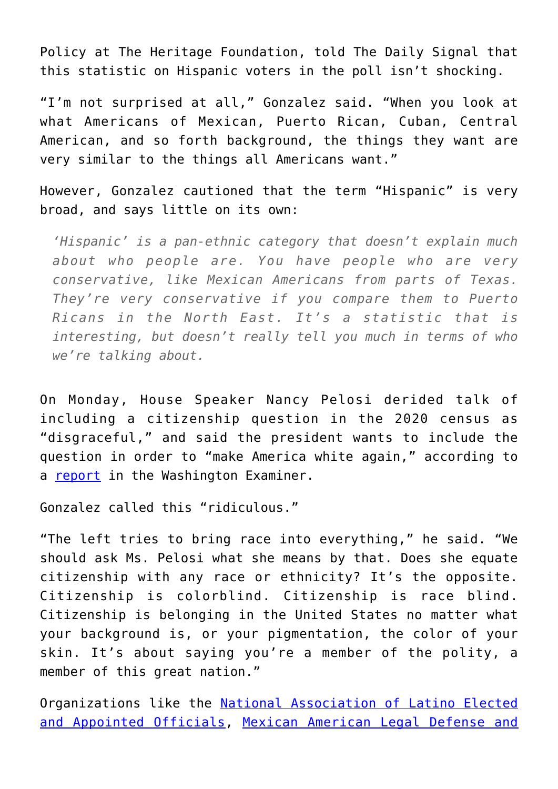Policy at The Heritage Foundation, told The Daily Signal that this statistic on Hispanic voters in the poll isn't shocking.

"I'm not surprised at all," Gonzalez said. "When you look at what Americans of Mexican, Puerto Rican, Cuban, Central American, and so forth background, the things they want are very similar to the things all Americans want."

However, Gonzalez cautioned that the term "Hispanic" is very broad, and says little on its own:

*'Hispanic' is a pan-ethnic category that doesn't explain much about who people are. You have people who are very conservative, like Mexican Americans from parts of Texas. They're very conservative if you compare them to Puerto Ricans in the North East. It's a statistic that is interesting, but doesn't really tell you much in terms of who we're talking about.*

On Monday, House Speaker Nancy Pelosi derided talk of including a citizenship question in the 2020 census as "disgraceful," and said the president wants to include the question in order to "make America white again," according to a [report](https://www.washingtonexaminer.com/news/nancy-pelosi-says-trump-want-to-make-america-white-again-with-citizenship-question) in the Washington Examiner.

Gonzalez called this "ridiculous."

"The left tries to bring race into everything," he said. "We should ask Ms. Pelosi what she means by that. Does she equate citizenship with any race or ethnicity? It's the opposite. Citizenship is colorblind. Citizenship is race blind. Citizenship is belonging in the United States no matter what your background is, or your pigmentation, the color of your skin. It's about saying you're a member of the polity, a member of this great nation."

Organizations like the [National Association of Latino Elected](http://www.naleo.org/) [and Appointed Officials,](http://www.naleo.org/) [Mexican American Legal Defense and](https://www.maldef.org/)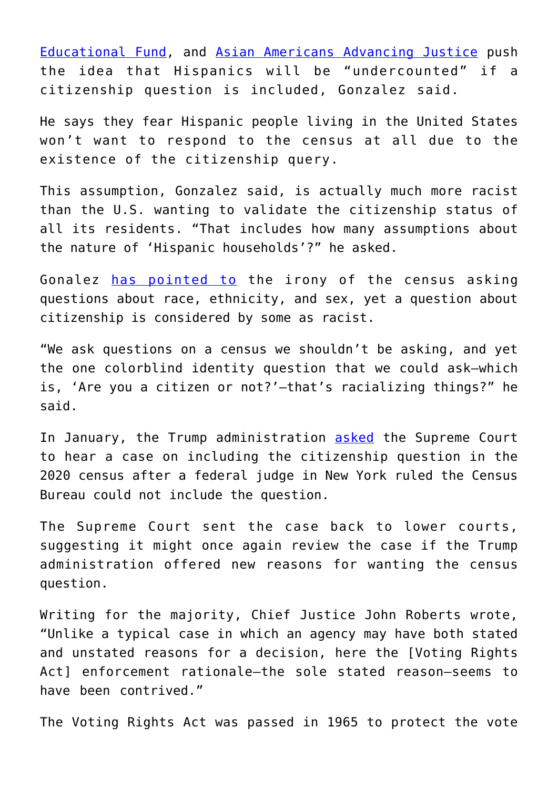[Educational Fund,](https://www.maldef.org/) and [Asian Americans Advancing Justice](https://www.advancingjustice.org/) push the idea that Hispanics will be "undercounted" if a citizenship question is included, Gonzalez said.

He says they fear Hispanic people living in the United States won't want to respond to the census at all due to the existence of the citizenship query.

This assumption, Gonzalez said, is actually much more racist than the U.S. wanting to validate the citizenship status of all its residents. "That includes how many assumptions about the nature of 'Hispanic households'?" he asked.

Gonalez [has pointed to](https://www.dailysignal.com/2019/01/22/trump-administration-asks-supreme-court-to-review-census-citizenship-case/) the irony of the census asking questions about race, ethnicity, and sex, yet a question about citizenship is considered by some as racist.

"We ask questions on a census we shouldn't be asking, and yet the one colorblind identity question that we could ask—which is, 'Are you a citizen or not?'—that's racializing things?" he said.

In January, the Trump administration [asked](https://www.dailysignal.com/2019/01/22/trump-administration-asks-supreme-court-to-review-census-citizenship-case/) the Supreme Court to hear a case on including the citizenship question in the 2020 census after a federal judge in New York ruled the Census Bureau could not include the question.

The Supreme Court sent the case back to lower courts, suggesting it might once again review the case if the Trump administration offered new reasons for wanting the census question.

Writing for the majority, Chief Justice John Roberts wrote, "Unlike a typical case in which an agency may have both stated and unstated reasons for a decision, here the [Voting Rights Act] enforcement rationale—the sole stated reason—seems to have been contrived."

The Voting Rights Act was passed in 1965 to protect the vote